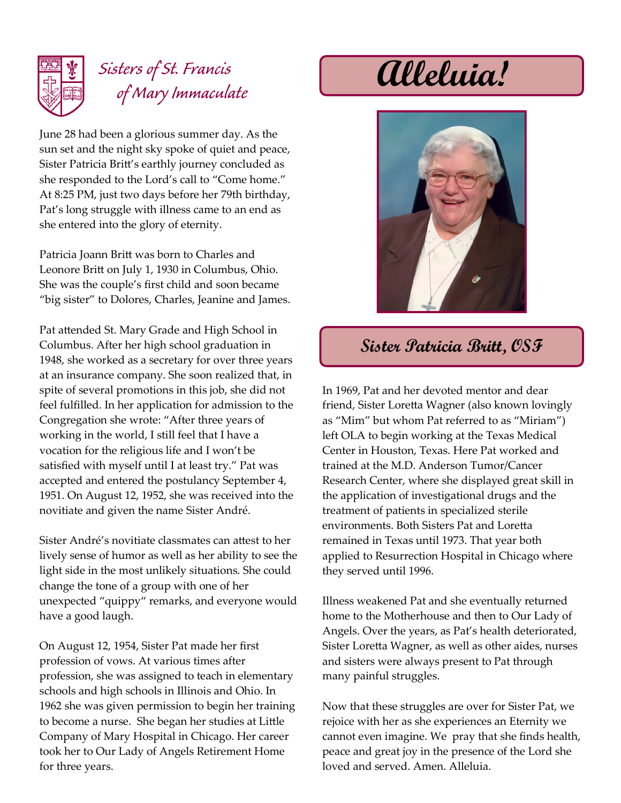

## *Sisters of St. Francis of Mary Immaculate* **Alleluia!**

June 28 had been a glorious summer day. As the sun set and the night sky spoke of quiet and peace, Sister Patricia Britt's earthly journey concluded as she responded to the Lord's call to "Come home." At 8:25 PM, just two days before her 79th birthday, Pat's long struggle with illness came to an end as she entered into the glory of eternity.

Patricia Joann Britt was born to Charles and Leonore Britt on July 1, 1930 in Columbus, Ohio. She was the couple's first child and soon became "big sister" to Dolores, Charles, Jeanine and James.

Pat attended St. Mary Grade and High School in Columbus. After her high school graduation in 1948, she worked as a secretary for over three years at an insurance company. She soon realized that, in spite of several promotions in this job, she did not feel fulfilled. In her application for admission to the Congregation she wrote: "After three years of working in the world, I still feel that I have a vocation for the religious life and I won't be satisfied with myself until I at least try." Pat was accepted and entered the postulancy September 4, 1951. On August 12, 1952, she was received into the novitiate and given the name Sister André.

Sister André's novitiate classmates can attest to her lively sense of humor as well as her ability to see the light side in the most unlikely situations. She could change the tone of a group with one of her unexpected "quippy" remarks, and everyone would have a good laugh.

On August 12, 1954, Sister Pat made her first profession of vows. At various times after profession, she was assigned to teach in elementary schools and high schools in Illinois and Ohio. In 1962 she was given permission to begin her training to become a nurse. She began her studies at Little Company of Mary Hospital in Chicago. Her career took her to Our Lady of Angels Retirement Home for three years.



## **Sister Patricia Britt, OSF**

In 1969, Pat and her devoted mentor and dear friend, Sister Loretta Wagner (also known lovingly as "Mim" but whom Pat referred to as "Miriam") left OLA to begin working at the Texas Medical Center in Houston, Texas. Here Pat worked and trained at the M.D. Anderson Tumor/Cancer Research Center, where she displayed great skill in the application of investigational drugs and the treatment of patients in specialized sterile environments. Both Sisters Pat and Loretta remained in Texas until 1973. That year both applied to Resurrection Hospital in Chicago where they served until 1996.

Illness weakened Pat and she eventually returned home to the Motherhouse and then to Our Lady of Angels. Over the years, as Pat's health deteriorated, Sister Loretta Wagner, as well as other aides, nurses and sisters were always present to Pat through many painful struggles.

Now that these struggles are over for Sister Pat, we rejoice with her as she experiences an Eternity we cannot even imagine. We pray that she finds health, peace and great joy in the presence of the Lord she loved and served. Amen. Alleluia.